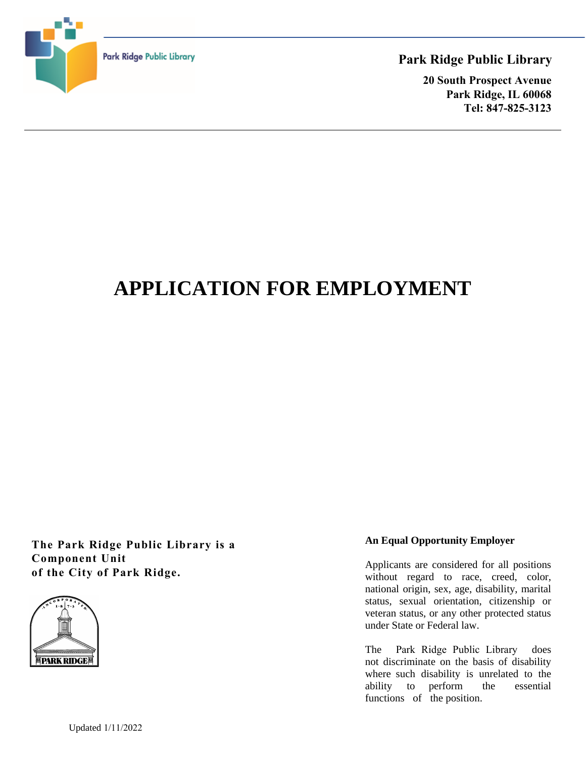

# **Park Ridge Public Library**

**20 South Prospect Avenue Park Ridge, IL 60068 Tel: 847-825-3123**

# **APPLICATION FOR EMPLOYMENT**

**The Park Ridge Public Library is a Component Unit of the City of Park Ridge.**



## **An Equal Opportunity Employer**

Applicants are considered for all positions without regard to race, creed, color, national origin, sex, age, disability, marital status, sexual orientation, citizenship or veteran status, or any other protected status under State or Federal law.

The Park Ridge Public Library does not discriminate on the basis of disability where such disability is unrelated to the ability to perform the essential functions of the position.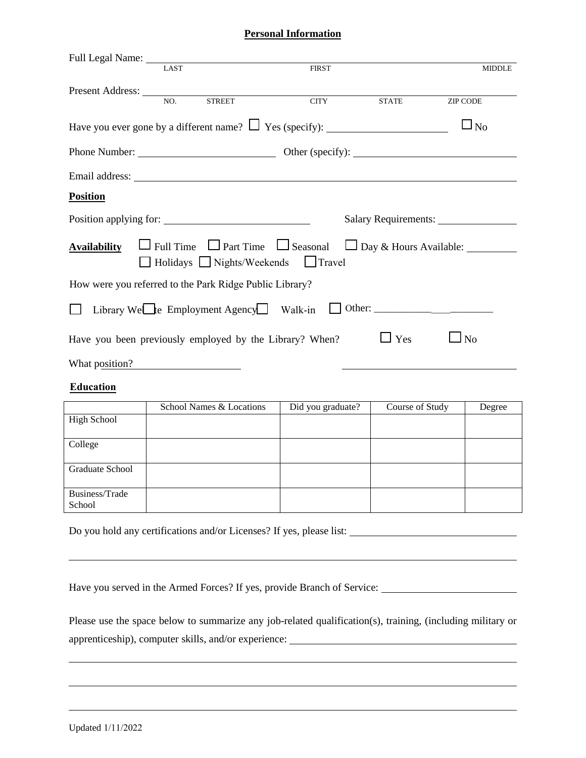#### **Personal Information**

| Full Legal Name: LAST FII<br>FIRST                                                                                                                                                                                            | <b>MIDDLE</b>      |
|-------------------------------------------------------------------------------------------------------------------------------------------------------------------------------------------------------------------------------|--------------------|
|                                                                                                                                                                                                                               |                    |
| Present Address: NO. STREET<br><b>CITY</b><br><b>STATE</b><br>ZIP CODE                                                                                                                                                        |                    |
|                                                                                                                                                                                                                               |                    |
|                                                                                                                                                                                                                               | $\Box_{\text{No}}$ |
|                                                                                                                                                                                                                               |                    |
|                                                                                                                                                                                                                               |                    |
| Email address: Note that the same state of the state of the state of the state of the state of the state of the state of the state of the state of the state of the state of the state of the state of the state of the state |                    |
| <b>Position</b>                                                                                                                                                                                                               |                    |
|                                                                                                                                                                                                                               |                    |
| Position applying for:                                                                                                                                                                                                        |                    |
| <b>Availability</b> $\Box$ Full Time $\Box$ Part Time $\Box$ Seasonal $\Box$ Day & Hours Available:                                                                                                                           |                    |
| □ Holidays □ Nights/Weekends □ Travel                                                                                                                                                                                         |                    |
|                                                                                                                                                                                                                               |                    |
| How were you referred to the Park Ridge Public Library?                                                                                                                                                                       |                    |
|                                                                                                                                                                                                                               |                    |
| Library WeLte Employment Agency Walk-in U Other: ________________________________<br>$\mathsf{L}$                                                                                                                             |                    |
| $\Box$ Yes                                                                                                                                                                                                                    |                    |
| $\Box$ No<br>Have you been previously employed by the Library? When?                                                                                                                                                          |                    |
| What position?                                                                                                                                                                                                                |                    |
| <b>Education</b>                                                                                                                                                                                                              |                    |

|                    | School Names & Locations | Did you graduate? | Course of Study | Degree |
|--------------------|--------------------------|-------------------|-----------------|--------|
| <b>High School</b> |                          |                   |                 |        |
|                    |                          |                   |                 |        |
| College            |                          |                   |                 |        |
|                    |                          |                   |                 |        |
| Graduate School    |                          |                   |                 |        |
|                    |                          |                   |                 |        |
| Business/Trade     |                          |                   |                 |        |
| School             |                          |                   |                 |        |

Do you hold any certifications and/or Licenses? If yes, please list:

Have you served in the Armed Forces? If yes, provide Branch of Service:

Please use the space below to summarize any job-related qualification(s), training, (including military or apprenticeship), computer skills, and/or experience: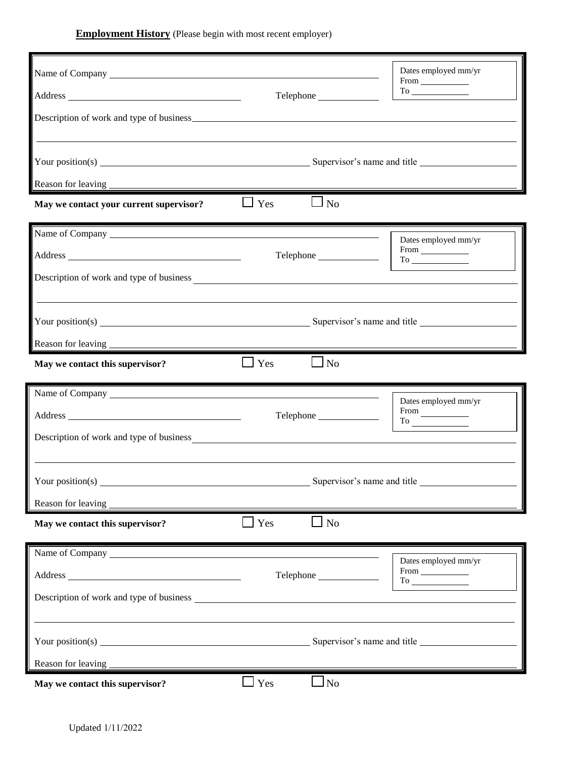**Employment History** (Please begin with most recent employer)

| Name of Company Name of Company                                                                    |                              | Dates employed mm/yr<br>$From \_\_$                                                                                                                                                                                                                                 |
|----------------------------------------------------------------------------------------------------|------------------------------|---------------------------------------------------------------------------------------------------------------------------------------------------------------------------------------------------------------------------------------------------------------------|
|                                                                                                    |                              |                                                                                                                                                                                                                                                                     |
|                                                                                                    |                              |                                                                                                                                                                                                                                                                     |
| May we contact your current supervisor?                                                            | $\Box$ Yes<br>$\Box$ No      |                                                                                                                                                                                                                                                                     |
| Name of Company                                                                                    |                              | Dates employed mm/yr<br>$From \_\_$                                                                                                                                                                                                                                 |
| Description of work and type of business                                                           |                              |                                                                                                                                                                                                                                                                     |
|                                                                                                    |                              |                                                                                                                                                                                                                                                                     |
|                                                                                                    |                              |                                                                                                                                                                                                                                                                     |
| May we contact this supervisor?                                                                    | $\Box$ No<br>$\Box$ Yes      |                                                                                                                                                                                                                                                                     |
|                                                                                                    |                              | Dates employed mm/yr<br>$\begin{tabular}{l} From \begin{tabular}{ c c c } \hline \quad \quad & \quad \quad & \quad \quad \\ \hline \quad \quad & \quad \quad & \quad \quad \\ \hline \quad \quad & \quad \quad & \quad \quad \\ \hline \end{tabular} \end{tabular}$ |
| Description of work and type of business                                                           |                              |                                                                                                                                                                                                                                                                     |
| Your position(s) $\overline{\phantom{a}}$<br><u> 1980 - Johann Stein, fransk politik (d. 1980)</u> |                              | Supervisor's name and title                                                                                                                                                                                                                                         |
| Reason for leaving<br>May we contact this supervisor?                                              | N <sub>o</sub><br>$\Box$ Yes |                                                                                                                                                                                                                                                                     |
|                                                                                                    |                              | Dates employed mm/yr                                                                                                                                                                                                                                                |
|                                                                                                    | Telephone                    | $From \begin{tabular}{ c c } \hline \quad \quad & \quad \quad & \quad \quad \\ \hline \end{tabular}$                                                                                                                                                                |
|                                                                                                    |                              |                                                                                                                                                                                                                                                                     |
|                                                                                                    |                              | Supervisor's name and title                                                                                                                                                                                                                                         |
| Reason for leaving                                                                                 |                              |                                                                                                                                                                                                                                                                     |
| May we contact this supervisor?                                                                    | $\Box$ Yes<br>$\Box$ No      |                                                                                                                                                                                                                                                                     |